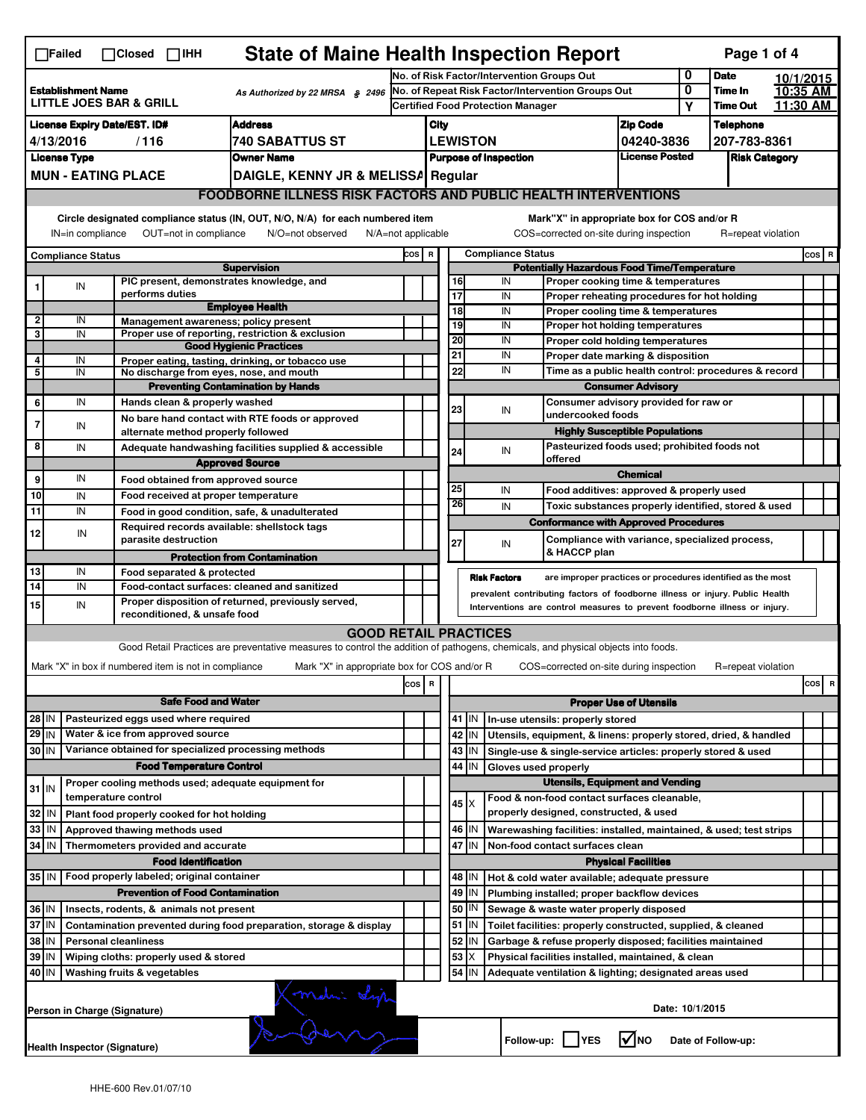| <b>State of Maine Health Inspection Report</b><br>Page 1 of 4<br>$\Box$ Failed<br>$\Box$ Closed $\Box$ IHH                                                                                                                                                                                |                                                                                                            |                     |                                                                           |                                                                                                                                   |                                                                                               |                                                       |                                                             |                                        |                                                                                         |                                                            |                            |                      |           |         |   |  |
|-------------------------------------------------------------------------------------------------------------------------------------------------------------------------------------------------------------------------------------------------------------------------------------------|------------------------------------------------------------------------------------------------------------|---------------------|---------------------------------------------------------------------------|-----------------------------------------------------------------------------------------------------------------------------------|-----------------------------------------------------------------------------------------------|-------------------------------------------------------|-------------------------------------------------------------|----------------------------------------|-----------------------------------------------------------------------------------------|------------------------------------------------------------|----------------------------|----------------------|-----------|---------|---|--|
|                                                                                                                                                                                                                                                                                           |                                                                                                            |                     |                                                                           |                                                                                                                                   |                                                                                               | No. of Risk Factor/Intervention Groups Out            |                                                             |                                        |                                                                                         |                                                            | 0                          | <b>Date</b>          | 10/1/2015 |         |   |  |
| <b>Establishment Name</b><br>As Authorized by 22 MRSA § 2496<br><b>LITTLE JOES BAR &amp; GRILL</b>                                                                                                                                                                                        |                                                                                                            |                     |                                                                           |                                                                                                                                   | No. of Repeat Risk Factor/Intervention Groups Out<br><b>Certified Food Protection Manager</b> |                                                       |                                                             |                                        |                                                                                         | 0<br>Υ                                                     | Time In<br><b>Time Out</b> | 10:35 AM<br>11:30 AM |           |         |   |  |
|                                                                                                                                                                                                                                                                                           | <b>Address</b><br><b>License Expiry Date/EST. ID#</b>                                                      |                     |                                                                           |                                                                                                                                   |                                                                                               |                                                       |                                                             |                                        |                                                                                         |                                                            |                            | <b>Telephone</b>     |           |         |   |  |
|                                                                                                                                                                                                                                                                                           | <b>740 SABATTUS ST</b><br>4/13/2016<br>/116                                                                |                     |                                                                           |                                                                                                                                   |                                                                                               |                                                       | <b>Zip Code</b><br>City<br><b>LEWISTON</b><br>04240-3836    |                                        |                                                                                         |                                                            |                            | 207-783-8361         |           |         |   |  |
| <b>License Type</b><br><b>Owner Name</b>                                                                                                                                                                                                                                                  |                                                                                                            |                     |                                                                           |                                                                                                                                   |                                                                                               | <b>License Posted</b><br><b>Purpose of Inspection</b> |                                                             |                                        |                                                                                         |                                                            |                            | <b>Risk Category</b> |           |         |   |  |
|                                                                                                                                                                                                                                                                                           | <b>MUN - EATING PLACE</b><br>DAIGLE, KENNY JR & MELISSA Regular                                            |                     |                                                                           |                                                                                                                                   |                                                                                               |                                                       |                                                             |                                        |                                                                                         |                                                            |                            |                      |           |         |   |  |
|                                                                                                                                                                                                                                                                                           | <b>FOODBORNE ILLNESS RISK FACTORS AND PUBLIC HEALTH INTERVENTIONS</b>                                      |                     |                                                                           |                                                                                                                                   |                                                                                               |                                                       |                                                             |                                        |                                                                                         |                                                            |                            |                      |           |         |   |  |
| Circle designated compliance status (IN, OUT, N/O, N/A) for each numbered item<br>Mark"X" in appropriate box for COS and/or R<br>OUT=not in compliance<br>COS=corrected on-site during inspection<br>IN=in compliance<br>N/O=not observed<br>$N/A = not$ applicable<br>R=repeat violation |                                                                                                            |                     |                                                                           |                                                                                                                                   |                                                                                               |                                                       |                                                             |                                        |                                                                                         |                                                            |                            |                      |           |         |   |  |
|                                                                                                                                                                                                                                                                                           | <b>Compliance Status</b>                                                                                   |                     |                                                                           |                                                                                                                                   |                                                                                               |                                                       |                                                             |                                        | <b>Compliance Status</b>                                                                |                                                            |                            |                      |           | $cos$ R |   |  |
|                                                                                                                                                                                                                                                                                           |                                                                                                            |                     |                                                                           | <b>Supervision</b>                                                                                                                |                                                                                               |                                                       | COS R<br><b>Potentially Hazardous Food Time/Temperature</b> |                                        |                                                                                         |                                                            |                            |                      |           |         |   |  |
|                                                                                                                                                                                                                                                                                           | IN                                                                                                         |                     | performs duties                                                           | PIC present, demonstrates knowledge, and                                                                                          |                                                                                               |                                                       | 16<br>$\overline{17}$                                       |                                        | IN<br>Proper cooking time & temperatures<br>IN                                          |                                                            |                            |                      |           |         |   |  |
|                                                                                                                                                                                                                                                                                           |                                                                                                            |                     |                                                                           | <b>Employee Health</b>                                                                                                            |                                                                                               |                                                       | $\overline{18}$                                             |                                        | Proper reheating procedures for hot holding<br>IN<br>Proper cooling time & temperatures |                                                            |                            |                      |           |         |   |  |
| $\overline{2}$                                                                                                                                                                                                                                                                            | IN                                                                                                         |                     |                                                                           | Management awareness; policy present                                                                                              |                                                                                               |                                                       | 19                                                          |                                        | IN<br>Proper hot holding temperatures                                                   |                                                            |                            |                      |           |         |   |  |
| 3                                                                                                                                                                                                                                                                                         | IN                                                                                                         |                     |                                                                           | Proper use of reporting, restriction & exclusion<br><b>Good Hygienic Practices</b>                                                |                                                                                               |                                                       | 20                                                          |                                        | IN<br>Proper cold holding temperatures                                                  |                                                            |                            |                      |           |         |   |  |
| 4                                                                                                                                                                                                                                                                                         | IN                                                                                                         |                     |                                                                           | Proper eating, tasting, drinking, or tobacco use                                                                                  |                                                                                               |                                                       | 21                                                          |                                        | IN<br>Proper date marking & disposition                                                 |                                                            |                            |                      |           |         |   |  |
| 5                                                                                                                                                                                                                                                                                         | IN                                                                                                         |                     |                                                                           | No discharge from eyes, nose, and mouth                                                                                           |                                                                                               |                                                       | 22                                                          |                                        | IN                                                                                      | Time as a public health control: procedures & record       |                            |                      |           |         |   |  |
|                                                                                                                                                                                                                                                                                           |                                                                                                            |                     |                                                                           | <b>Preventing Contamination by Hands</b>                                                                                          |                                                                                               |                                                       |                                                             |                                        | <b>Consumer Advisory</b>                                                                |                                                            |                            |                      |           |         |   |  |
| 6                                                                                                                                                                                                                                                                                         | IN                                                                                                         |                     | Hands clean & properly washed                                             |                                                                                                                                   |                                                                                               |                                                       | 23                                                          |                                        | IN                                                                                      | Consumer advisory provided for raw or                      |                            |                      |           |         |   |  |
| 7                                                                                                                                                                                                                                                                                         | IN                                                                                                         |                     |                                                                           | No bare hand contact with RTE foods or approved                                                                                   |                                                                                               |                                                       |                                                             |                                        |                                                                                         | undercooked foods<br><b>Highly Susceptible Populations</b> |                            |                      |           |         |   |  |
|                                                                                                                                                                                                                                                                                           |                                                                                                            |                     | alternate method properly followed                                        |                                                                                                                                   |                                                                                               |                                                       |                                                             |                                        |                                                                                         |                                                            |                            |                      |           |         |   |  |
| 8                                                                                                                                                                                                                                                                                         | IN                                                                                                         |                     |                                                                           | Adequate handwashing facilities supplied & accessible                                                                             |                                                                                               |                                                       | 24                                                          |                                        | Pasteurized foods used; prohibited foods not<br>IN<br>offered                           |                                                            |                            |                      |           |         |   |  |
| 9                                                                                                                                                                                                                                                                                         | IN                                                                                                         |                     |                                                                           | <b>Approved Source</b>                                                                                                            |                                                                                               |                                                       |                                                             |                                        |                                                                                         | <b>Chemical</b>                                            |                            |                      |           |         |   |  |
| 10                                                                                                                                                                                                                                                                                        | IN                                                                                                         |                     | Food obtained from approved source<br>Food received at proper temperature |                                                                                                                                   |                                                                                               |                                                       | 25                                                          |                                        | IN<br>Food additives: approved & properly used                                          |                                                            |                            |                      |           |         |   |  |
| 11                                                                                                                                                                                                                                                                                        | IN                                                                                                         |                     |                                                                           | Food in good condition, safe, & unadulterated                                                                                     |                                                                                               |                                                       | 26                                                          |                                        | IN<br>Toxic substances properly identified, stored & used                               |                                                            |                            |                      |           |         |   |  |
|                                                                                                                                                                                                                                                                                           |                                                                                                            |                     |                                                                           | Required records available: shellstock tags                                                                                       |                                                                                               |                                                       |                                                             |                                        | <b>Conformance with Approved Procedures</b>                                             |                                                            |                            |                      |           |         |   |  |
| 12                                                                                                                                                                                                                                                                                        | IN                                                                                                         |                     | parasite destruction                                                      |                                                                                                                                   |                                                                                               |                                                       | 27                                                          |                                        | Compliance with variance, specialized process,<br>IN                                    |                                                            |                            |                      |           |         |   |  |
|                                                                                                                                                                                                                                                                                           |                                                                                                            |                     |                                                                           | <b>Protection from Contamination</b>                                                                                              |                                                                                               |                                                       |                                                             |                                        | & HACCP plan                                                                            |                                                            |                            |                      |           |         |   |  |
| 13                                                                                                                                                                                                                                                                                        | IN                                                                                                         |                     | Food separated & protected                                                |                                                                                                                                   |                                                                                               |                                                       |                                                             |                                        | <b>Risk Factors</b><br>are improper practices or procedures identified as the most      |                                                            |                            |                      |           |         |   |  |
| $\overline{14}$                                                                                                                                                                                                                                                                           | IN                                                                                                         |                     |                                                                           | Food-contact surfaces: cleaned and sanitized                                                                                      |                                                                                               |                                                       |                                                             |                                        | prevalent contributing factors of foodborne illness or injury. Public Health            |                                                            |                            |                      |           |         |   |  |
| 15                                                                                                                                                                                                                                                                                        | IN                                                                                                         |                     | reconditioned, & unsafe food                                              | Proper disposition of returned, previously served,                                                                                |                                                                                               |                                                       |                                                             |                                        | Interventions are control measures to prevent foodborne illness or injury.              |                                                            |                            |                      |           |         |   |  |
|                                                                                                                                                                                                                                                                                           |                                                                                                            |                     |                                                                           | <b>GOOD RETAIL PRACTICES</b>                                                                                                      |                                                                                               |                                                       |                                                             |                                        |                                                                                         |                                                            |                            |                      |           |         |   |  |
|                                                                                                                                                                                                                                                                                           |                                                                                                            |                     |                                                                           | Good Retail Practices are preventative measures to control the addition of pathogens, chemicals, and physical objects into foods. |                                                                                               |                                                       |                                                             |                                        |                                                                                         |                                                            |                            |                      |           |         |   |  |
|                                                                                                                                                                                                                                                                                           |                                                                                                            |                     | Mark "X" in box if numbered item is not in compliance                     | Mark "X" in appropriate box for COS and/or R                                                                                      |                                                                                               |                                                       |                                                             |                                        | COS=corrected on-site during inspection                                                 |                                                            |                            | R=repeat violation   |           |         |   |  |
|                                                                                                                                                                                                                                                                                           |                                                                                                            |                     |                                                                           |                                                                                                                                   | cos                                                                                           | R                                                     |                                                             |                                        |                                                                                         |                                                            |                            |                      |           | cos     | R |  |
|                                                                                                                                                                                                                                                                                           |                                                                                                            |                     | <b>Safe Food and Water</b>                                                |                                                                                                                                   |                                                                                               |                                                       |                                                             |                                        |                                                                                         | <b>Proper Use of Utensils</b>                              |                            |                      |           |         |   |  |
| 28 IN                                                                                                                                                                                                                                                                                     |                                                                                                            |                     | Pasteurized eggs used where required                                      |                                                                                                                                   |                                                                                               |                                                       |                                                             | 41   IN                                | In-use utensils: properly stored                                                        |                                                            |                            |                      |           |         |   |  |
| 29 IN                                                                                                                                                                                                                                                                                     |                                                                                                            |                     | Water & ice from approved source                                          |                                                                                                                                   |                                                                                               |                                                       |                                                             | 42 IN                                  | Utensils, equipment, & linens: properly stored, dried, & handled                        |                                                            |                            |                      |           |         |   |  |
| 30 IN                                                                                                                                                                                                                                                                                     |                                                                                                            |                     |                                                                           | Variance obtained for specialized processing methods                                                                              |                                                                                               |                                                       |                                                             | 43   IN                                | Single-use & single-service articles: properly stored & used                            |                                                            |                            |                      |           |         |   |  |
|                                                                                                                                                                                                                                                                                           |                                                                                                            |                     | <b>Food Temperature Control</b>                                           |                                                                                                                                   |                                                                                               |                                                       | 44                                                          | IN                                     | Gloves used properly                                                                    |                                                            |                            |                      |           |         |   |  |
|                                                                                                                                                                                                                                                                                           |                                                                                                            |                     |                                                                           | Proper cooling methods used; adequate equipment for                                                                               |                                                                                               |                                                       |                                                             |                                        | <b>Utensils, Equipment and Vending</b>                                                  |                                                            |                            |                      |           |         |   |  |
| $31$ IN                                                                                                                                                                                                                                                                                   |                                                                                                            | temperature control |                                                                           |                                                                                                                                   |                                                                                               |                                                       |                                                             | $45 \times$                            | Food & non-food contact surfaces cleanable,                                             |                                                            |                            |                      |           |         |   |  |
| 32                                                                                                                                                                                                                                                                                        | IN                                                                                                         |                     | Plant food properly cooked for hot holding                                |                                                                                                                                   |                                                                                               |                                                       |                                                             |                                        | properly designed, constructed, & used                                                  |                                                            |                            |                      |           |         |   |  |
| 33 IN                                                                                                                                                                                                                                                                                     |                                                                                                            |                     | Approved thawing methods used                                             |                                                                                                                                   |                                                                                               |                                                       |                                                             | 46   IN                                | Warewashing facilities: installed, maintained, & used; test strips                      |                                                            |                            |                      |           |         |   |  |
| 34 IN                                                                                                                                                                                                                                                                                     |                                                                                                            |                     | Thermometers provided and accurate                                        |                                                                                                                                   |                                                                                               |                                                       | 47                                                          | IN                                     | Non-food contact surfaces clean                                                         |                                                            |                            |                      |           |         |   |  |
|                                                                                                                                                                                                                                                                                           |                                                                                                            |                     | <b>Food Identification</b>                                                |                                                                                                                                   |                                                                                               |                                                       |                                                             |                                        |                                                                                         | <b>Physical Facilities</b>                                 |                            |                      |           |         |   |  |
|                                                                                                                                                                                                                                                                                           | Food properly labeled; original container<br>35   IN                                                       |                     |                                                                           |                                                                                                                                   |                                                                                               |                                                       |                                                             | 48   IN                                | Hot & cold water available; adequate pressure                                           |                                                            |                            |                      |           |         |   |  |
|                                                                                                                                                                                                                                                                                           |                                                                                                            |                     | <b>Prevention of Food Contamination</b>                                   |                                                                                                                                   |                                                                                               |                                                       |                                                             | 49 IN                                  | Plumbing installed; proper backflow devices                                             |                                                            |                            |                      |           |         |   |  |
| 36 IN<br>Insects, rodents, & animals not present                                                                                                                                                                                                                                          |                                                                                                            |                     |                                                                           |                                                                                                                                   |                                                                                               |                                                       | 50   IN                                                     | Sewage & waste water properly disposed |                                                                                         |                                                            |                            |                      |           |         |   |  |
| 37 IN<br>Contamination prevented during food preparation, storage & display                                                                                                                                                                                                               |                                                                                                            |                     |                                                                           |                                                                                                                                   |                                                                                               |                                                       |                                                             | 51   IN                                | Toilet facilities: properly constructed, supplied, & cleaned                            |                                                            |                            |                      |           |         |   |  |
| 38 IN<br><b>Personal cleanliness</b>                                                                                                                                                                                                                                                      |                                                                                                            |                     |                                                                           |                                                                                                                                   |                                                                                               |                                                       | 52                                                          | IN                                     | Garbage & refuse properly disposed; facilities maintained                               |                                                            |                            |                      |           |         |   |  |
| 39 IN<br>Wiping cloths: properly used & stored                                                                                                                                                                                                                                            |                                                                                                            |                     |                                                                           |                                                                                                                                   |                                                                                               |                                                       | 53                                                          | Х                                      | Physical facilities installed, maintained, & clean                                      |                                                            |                            |                      |           |         |   |  |
|                                                                                                                                                                                                                                                                                           | 54<br>40 IN<br>Washing fruits & vegetables<br>Adequate ventilation & lighting; designated areas used<br>ΙN |                     |                                                                           |                                                                                                                                   |                                                                                               |                                                       |                                                             |                                        |                                                                                         |                                                            |                            |                      |           |         |   |  |
|                                                                                                                                                                                                                                                                                           | Mondais syn<br>Date: 10/1/2015<br>Person in Charge (Signature)                                             |                     |                                                                           |                                                                                                                                   |                                                                                               |                                                       |                                                             |                                        |                                                                                         |                                                            |                            |                      |           |         |   |  |
|                                                                                                                                                                                                                                                                                           | l√lno<br>Follow-up:  <br><b>IYES</b><br>Date of Follow-up:<br>Health Inspector (Signature)                 |                     |                                                                           |                                                                                                                                   |                                                                                               |                                                       |                                                             |                                        |                                                                                         |                                                            |                            |                      |           |         |   |  |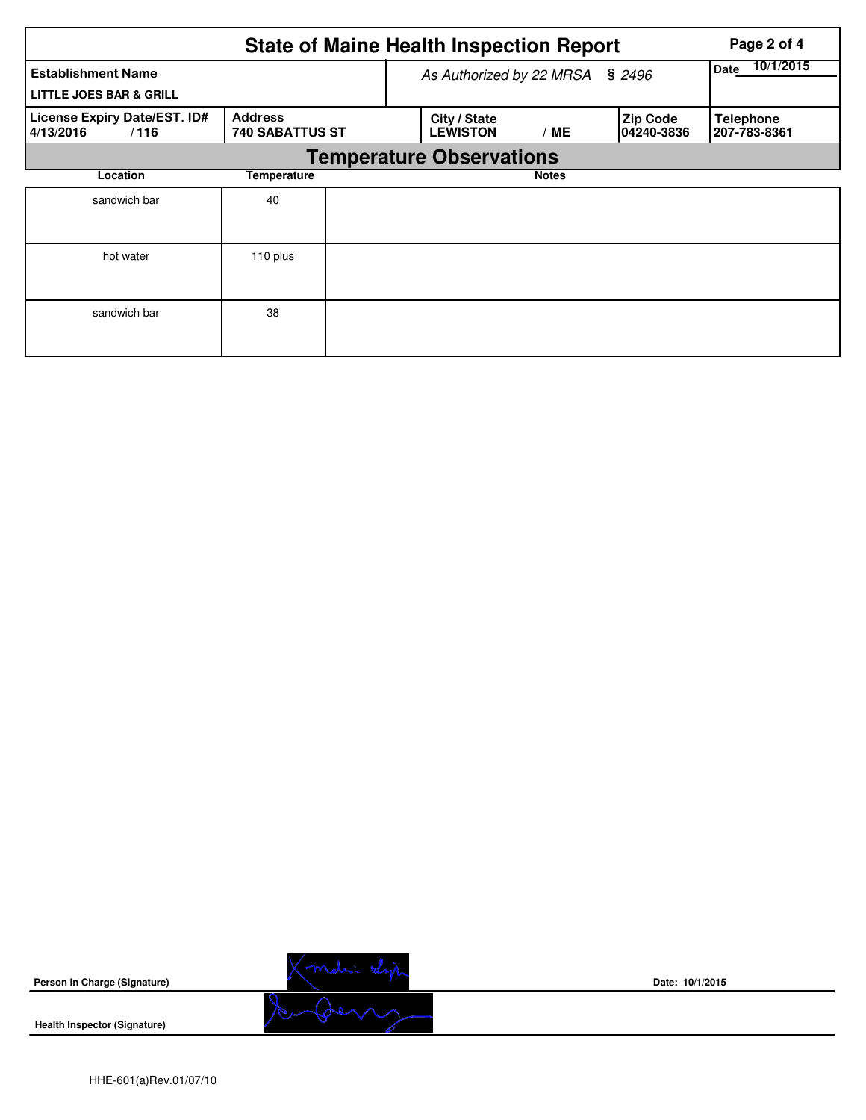|                                                                 |                                          | <b>State of Maine Health Inspection Report</b> | Page 2 of 4              |                         |                                  |  |  |  |  |
|-----------------------------------------------------------------|------------------------------------------|------------------------------------------------|--------------------------|-------------------------|----------------------------------|--|--|--|--|
| <b>Establishment Name</b><br><b>LITTLE JOES BAR &amp; GRILL</b> |                                          | As Authorized by 22 MRSA § 2496                | 10/1/2015<br><b>Date</b> |                         |                                  |  |  |  |  |
| License Expiry Date/EST. ID#<br>/116<br>4/13/2016               | <b>Address</b><br><b>740 SABATTUS ST</b> | City / State<br><b>LEWISTON</b>                | / ME                     | Zip Code<br> 04240-3836 | <b>Telephone</b><br>207-783-8361 |  |  |  |  |
|                                                                 |                                          | <b>Temperature Observations</b>                |                          |                         |                                  |  |  |  |  |
| Location                                                        | Temperature                              | <b>Notes</b>                                   |                          |                         |                                  |  |  |  |  |
| sandwich bar                                                    | 40                                       |                                                |                          |                         |                                  |  |  |  |  |
| hot water                                                       | 110 plus                                 |                                                |                          |                         |                                  |  |  |  |  |
| sandwich bar                                                    | 38                                       |                                                |                          |                         |                                  |  |  |  |  |

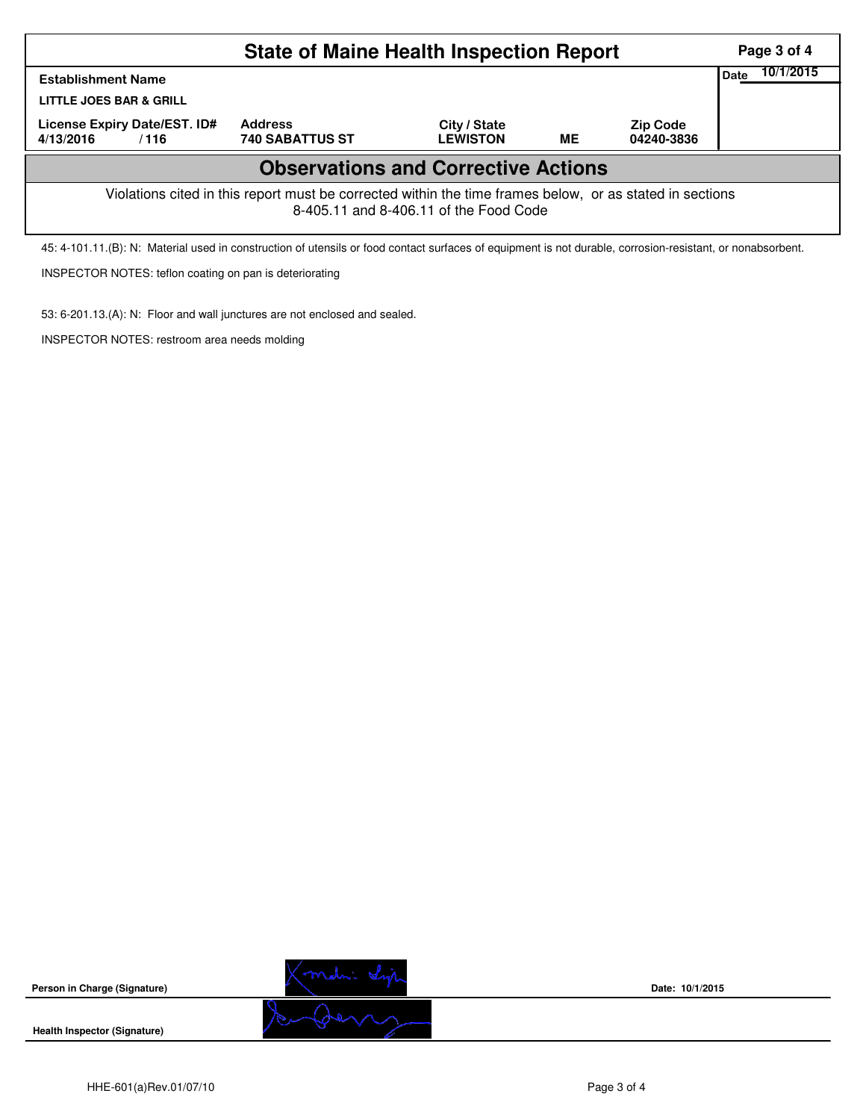|                                                                                                                                                    |                                          | Page 3 of 4                     |    |                               |  |  |  |  |  |
|----------------------------------------------------------------------------------------------------------------------------------------------------|------------------------------------------|---------------------------------|----|-------------------------------|--|--|--|--|--|
| <b>Establishment Name</b>                                                                                                                          | <b>Date</b>                              | 10/1/2015                       |    |                               |  |  |  |  |  |
| LITTLE JOES BAR & GRILL                                                                                                                            |                                          |                                 |    |                               |  |  |  |  |  |
| License Expiry Date/EST. ID#<br>4/13/2016<br>/116                                                                                                  | <b>Address</b><br><b>740 SABATTUS ST</b> | City / State<br><b>LEWISTON</b> | ME | <b>Zip Code</b><br>04240-3836 |  |  |  |  |  |
| <b>Observations and Corrective Actions</b>                                                                                                         |                                          |                                 |    |                               |  |  |  |  |  |
| Violations cited in this report must be corrected within the time frames below, or as stated in sections<br>8-405.11 and 8-406.11 of the Food Code |                                          |                                 |    |                               |  |  |  |  |  |

45: 4-101.11.(B): N: Material used in construction of utensils or food contact surfaces of equipment is not durable, corrosion-resistant, or nonabsorbent.

INSPECTOR NOTES: teflon coating on pan is deteriorating

53: 6-201.13.(A): N: Floor and wall junctures are not enclosed and sealed.

INSPECTOR NOTES: restroom area needs molding